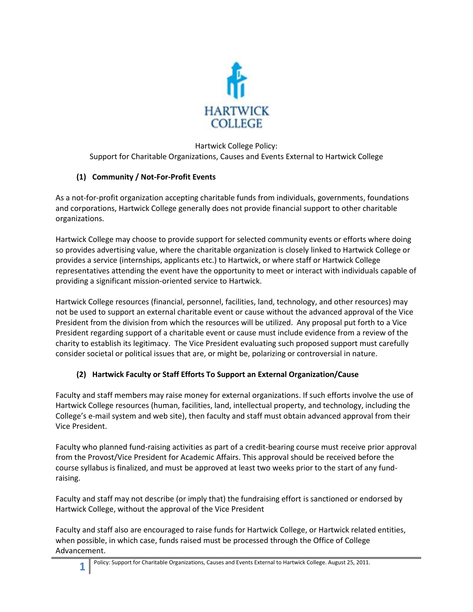

## Hartwick College Policy: Support for Charitable Organizations, Causes and Events External to Hartwick College

## **(1) Community / Not-For-Profit Events**

As a not-for-profit organization accepting charitable funds from individuals, governments, foundations and corporations, Hartwick College generally does not provide financial support to other charitable organizations.

Hartwick College may choose to provide support for selected community events or efforts where doing so provides advertising value, where the charitable organization is closely linked to Hartwick College or provides a service (internships, applicants etc.) to Hartwick, or where staff or Hartwick College representatives attending the event have the opportunity to meet or interact with individuals capable of providing a significant mission-oriented service to Hartwick.

Hartwick College resources (financial, personnel, facilities, land, technology, and other resources) may not be used to support an external charitable event or cause without the advanced approval of the Vice President from the division from which the resources will be utilized. Any proposal put forth to a Vice President regarding support of a charitable event or cause must include evidence from a review of the charity to establish its legitimacy. The Vice President evaluating such proposed support must carefully consider societal or political issues that are, or might be, polarizing or controversial in nature.

## **(2) Hartwick Faculty or Staff Efforts To Support an External Organization/Cause**

Faculty and staff members may raise money for external organizations. If such efforts involve the use of Hartwick College resources (human, facilities, land, intellectual property, and technology, including the College's e-mail system and web site), then faculty and staff must obtain advanced approval from their Vice President.

Faculty who planned fund-raising activities as part of a credit-bearing course must receive prior approval from the Provost/Vice President for Academic Affairs. This approval should be received before the course syllabus is finalized, and must be approved at least two weeks prior to the start of any fundraising.

Faculty and staff may not describe (or imply that) the fundraising effort is sanctioned or endorsed by Hartwick College, without the approval of the Vice President

Faculty and staff also are encouraged to raise funds for Hartwick College, or Hartwick related entities, when possible, in which case, funds raised must be processed through the Office of College Advancement.